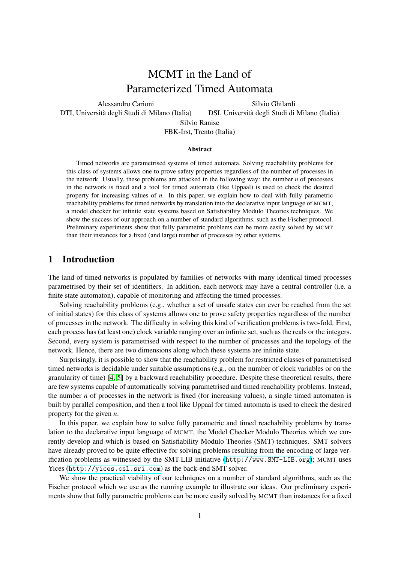# MCMT in the Land of Parameterized Timed Automata

Alessandro Carioni

Silvio Ghilardi

<span id="page-0-0"></span>DTI, Universita degli Studi di Milano (Italia) ` DSI, Universita degli Studi di Milano (Italia) `

Silvio Ranise

FBK-Irst, Trento (Italia)

#### **Abstract**

Timed networks are parametrised systems of timed automata. Solving reachability problems for this class of systems allows one to prove safety properties regardless of the number of processes in the network. Usually, these problems are attacked in the following way: the number *n* of processes in the network is fixed and a tool for timed automata (like Uppaal) is used to check the desired property for increasing values of *n*. In this paper, we explain how to deal with fully parametric reachability problems for timed networks by translation into the declarative input language of MCMT, a model checker for infinite state systems based on Satisfiability Modulo Theories techniques. We show the success of our approach on a number of standard algorithms, such as the Fischer protocol. Preliminary experiments show that fully parametric problems can be more easily solved by MCMT than their instances for a fixed (and large) number of processes by other systems.

# 1 Introduction

The land of timed networks is populated by families of networks with many identical timed processes parametrised by their set of identifiers. In addition, each network may have a central controller (i.e. a finite state automaton), capable of monitoring and affecting the timed processes.

Solving reachability problems (e.g., whether a set of unsafe states can ever be reached from the set of initial states) for this class of systems allows one to prove safety properties regardless of the number of processes in the network. The difficulty in solving this kind of verification problems is two-fold. First, each process has (at least one) clock variable ranging over an infinite set, such as the reals or the integers. Second, every system is parametrised with respect to the number of processes and the topology of the network. Hence, there are two dimensions along which these systems are infinite state.

Surprisingly, it is possible to show that the reachability problem for restricted classes of parametrised timed networks is decidable under suitable assumptions (e.g., on the number of clock variables or on the granularity of time) [\[4,](#page-13-0) [5\]](#page-13-1) by a backward reachability procedure. Despite these theoretical results, there are few systems capable of automatically solving parametrised and timed reachability problems. Instead, the number *n* of processes in the network is fixed (for increasing values), a single timed automaton is built by parallel composition, and then a tool like Uppaal for timed automata is used to check the desired property for the given *n*.

In this paper, we explain how to solve fully parametric and timed reachability problems by translation to the declarative input language of MCMT, the Model Checker Modulo Theories which we currently develop and which is based on Satisfiability Modulo Theories (SMT) techniques. SMT solvers have already proved to be quite effective for solving problems resulting from the encoding of large verification problems as witnessed by the SMT-LIB initiative (<http://www.SMT-LIB.org>); MCMT uses Yices (<http://yices.csl.sri.com>) as the back-end SMT solver.

We show the practical viability of our techniques on a number of standard algorithms, such as the Fischer protocol which we use as the running example to illustrate our ideas. Our preliminary experiments show that fully parametric problems can be more easily solved by MCMT than instances for a fixed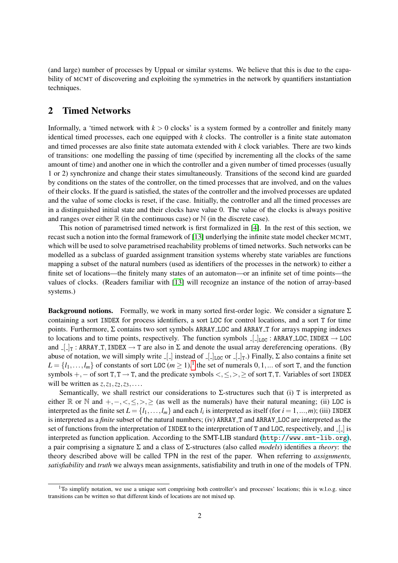(and large) number of processes by Uppaal or similar systems. We believe that this is due to the capability of MCMT of discovering and exploiting the symmetries in the network by quantifiers instantiation techniques.

## <span id="page-1-0"></span>2 Timed Networks

Informally, a 'timed network with  $k > 0$  clocks' is a system formed by a controller and finitely many identical timed processes, each one equipped with *k* clocks. The controller is a finite state automaton and timed processes are also finite state automata extended with *k* clock variables. There are two kinds of transitions: one modelling the passing of time (specified by incrementing all the clocks of the same amount of time) and another one in which the controller and a given number of timed processes (usually 1 or 2) synchronize and change their states simultaneously. Transitions of the second kind are guarded by conditions on the states of the controller, on the timed processes that are involved, and on the values of their clocks. If the guard is satisfied, the states of the controller and the involved processes are updated and the value of some clocks is reset, if the case. Initially, the controller and all the timed processes are in a distinguished initial state and their clocks have value 0. The value of the clocks is always positive and ranges over either  $\mathbb R$  (in the continuous case) or  $\mathbb N$  (in the discrete case).

This notion of parametrised timed network is first formalized in [\[4\]](#page-13-0). In the rest of this section, we recast such a notion into the formal framework of [\[13\]](#page-13-2) underlying the infinite state model checker MCMT, which will be used to solve parametrised reachability problems of timed networks. Such networks can be modelled as a subclass of guarded assignment transition systems whereby state variables are functions mapping a subset of the natural numbers (used as identifiers of the processes in the network) to either a finite set of locations—the finitely many states of an automaton—or an infinite set of time points—the values of clocks. (Readers familiar with [\[13\]](#page-13-2) will recognize an instance of the notion of array-based systems.)

**Background notions.** Formally, we work in many sorted first-order logic. We consider a signature  $\Sigma$ containing a sort INDEX for process identifiers, a sort LOC for control locations, and a sort T for time points. Furthermore,  $\Sigma$  contains two sort symbols ARRAY LOC and ARRAY T for arrays mapping indexes to locations and to time points, respectively. The function symbols  $\lfloor \cdot \rfloor_{\text{LOC}}$ : ARRAY LOC, INDEX  $\rightarrow$  LOC and  $\Box$ <sub>T</sub>: ARRAY T, INDEX  $\rightarrow$  T are also in  $\Sigma$  and denote the usual array dereferencing operations. (By abuse of notation, we will simply write  $\lfloor \rfloor$  instead of  $\lfloor \lfloor \frac{1}{\text{Loc}} \text{ or } \lfloor \frac{1}{\text{T}} \rfloor$ . Finally,  $\Sigma$  also contains a finite set  $L = \{l_1, \ldots, l_m\}$  $L = \{l_1, \ldots, l_m\}$  $L = \{l_1, \ldots, l_m\}$  of constants of sort LOC ( $m \geq 1$ ),<sup>1</sup> the set of numerals  $0, 1, \ldots$  of sort T, and the function symbols +,− of sort T,T → T, and the predicate symbols <,≤,>,≥ of sort T,T. Variables of sort INDEX will be written as  $z, z_1, z_2, z_3, \ldots$ .

Semantically, we shall restrict our considerations to  $\Sigma$ -structures such that (i) T is interpreted as either R or N and  $+, -, <, \leq, >, \geq$  (as well as the numerals) have their natural meaning; (ii) LOC is interpreted as the finite set  $L = \{l_1, \ldots, l_m\}$  and each  $l_i$  is interpreted as itself (for  $i = 1, \ldots, m$ ); (iii) INDEX is interpreted as a *finite* subset of the natural numbers; (iv) ARRAY T and ARRAY LOC are interpreted as the set of functions from the interpretation of INDEX to the interpretation of T and LOC, respectively, and  $\lfloor \cdot \rfloor$  is interpreted as function application. According to the SMT-LIB standard (<http://www.smt-lib.org>), a pair comprising a signature Σ and a class of Σ-structures (also called *models*) identifies a *theory*: the theory described above will be called TPN in the rest of the paper. When referring to *assignments, satisfiability* and *truth* we always mean assignments, satisfiability and truth in one of the models of TPN.

<sup>&</sup>lt;sup>1</sup>To simplify notation, we use a unique sort comprising both controller's and processes' locations; this is w.l.o.g. since transitions can be written so that different kinds of locations are not mixed up.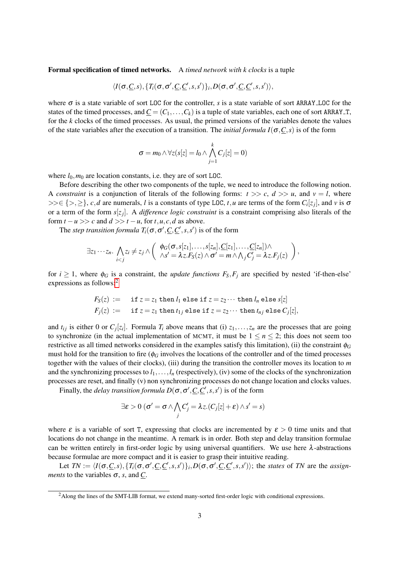Formal specification of timed networks. A *timed network with k clocks* is a tuple

$$
\langle I(\sigma,\underline{C},s), \{T_i(\sigma,\sigma',\underline{C},\underline{C}',s,s')\}_i,D(\sigma,\sigma',\underline{C},\underline{C}',s,s')\rangle,
$$

where  $\sigma$  is a state variable of sort LOC for the controller, *s* is a state variable of sort ARRAY LOC for the states of the timed processes, and  $\underline{C} = (C_1, \ldots, C_k)$  is a tuple of state variables, each one of sort ARRAY<sub>-T</sub>, for the *k* clocks of the timed processes. As usual, the primed versions of the variables denote the values of the state variables after the execution of a transition. The *initial formula I*( $\sigma$ , $C$ ,*s*) is of the form

$$
\sigma = m_0 \wedge \forall z (s[z] = l_0 \wedge \bigwedge_{j=1}^k C_j[z] = 0)
$$

where  $l_0$ ,  $m_0$  are location constants, i.e. they are of sort LOC.

Before describing the other two components of the tuple, we need to introduce the following notion. A *constraint* is a conjunction of literals of the following forms:  $t \gg c$ ,  $d \gg u$ , and  $v = l$ , where  $>>\in \{>,\geq\}, c,d$  are numerals, *l* is a constants of type LOC, *t*, *u* are terms of the form  $C_i[z_j]$ , and *v* is  $\sigma$ or a term of the form *s*[*z<sup>j</sup>* ]. A *difference logic constraint* is a constraint comprising also literals of the form  $t - u \gg c$  and  $d \gg t - u$ , for  $t, u, c, d$  as above.

The *step transition formula*  $T_i(\sigma, \sigma', \underline{C}, \underline{C}', s, s')$  is of the form

$$
\exists z_1\cdots z_n.\ \bigwedge_{i
$$

for  $i \ge 1$ , where  $\phi_G$  is a constraint, the *update functions*  $F_S, F_i$  are specified by nested 'if-then-else' expressions as follows:[2](#page-0-0)

$$
F_S(z) := \text{if } z = z_1 \text{ then } l_1 \text{ else if } z = z_2 \cdots \text{ then } l_n \text{ else } s[z]
$$
  

$$
F_j(z) := \text{if } z = z_1 \text{ then } t_{1j} \text{ else if } z = z_2 \cdots \text{ then } t_{nj} \text{ else } C_j[z],
$$

and  $t_{ij}$  is either 0 or  $C_j[z_i]$ . Formula  $T_i$  above means that (i)  $z_1, \ldots, z_n$  are the processes that are going to synchronize (in the actual implementation of MCMT, it must be  $1 \le n \le 2$ ; this does not seem too restrictive as all timed networks considered in the examples satisfy this limitation), (ii) the constraint  $\phi_G$ must hold for the transition to fire ( $\phi_G$  involves the locations of the controller and of the timed processes together with the values of their clocks), (iii) during the transition the controller moves its location to *m* and the synchronizing processes to  $l_1, \ldots, l_n$  (respectively), (iv) some of the clocks of the synchronization processes are reset, and finally (v) non synchronizing processes do not change location and clocks values.

Finally, the *delay transition formula*  $D(\sigma, \sigma', \underline{C}, \underline{C}', s, s')$  is of the form

$$
\exists \varepsilon > 0 \; (\sigma' = \sigma \wedge \bigwedge_j C'_j = \lambda z . (C_j[z] + \varepsilon) \wedge s' = s)
$$

where  $\varepsilon$  is a variable of sort T, expressing that clocks are incremented by  $\varepsilon > 0$  time units and that locations do not change in the meantime. A remark is in order. Both step and delay transition formulae can be written entirely in first-order logic by using universal quantifiers. We use here  $\lambda$ -abstractions because formulae are more compact and it is easier to grasp their intuitive reading.

Let  $TN := \langle I(\sigma, \underline{C}, s), \{T_i(\sigma, \sigma', \underline{C}, \underline{C}', s, s')\}_i, D(\sigma, \sigma', \underline{C}, \underline{C}', s, s')\rangle$ ; the states of TN are the assign*ments* to the variables  $\sigma$ , *s*, and *C*.

<sup>&</sup>lt;sup>2</sup>Along the lines of the SMT-LIB format, we extend many-sorted first-order logic with conditional expressions.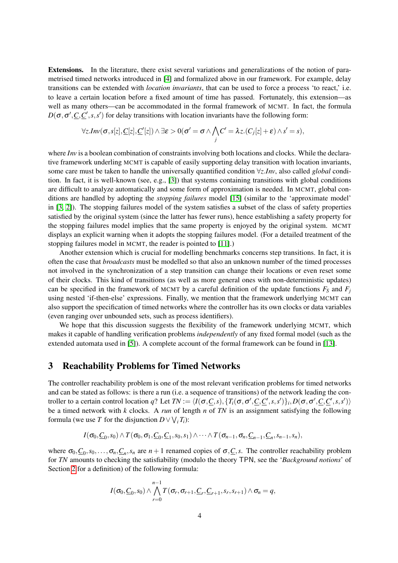Extensions. In the literature, there exist several variations and generalizations of the notion of parametrised timed networks introduced in [\[4\]](#page-13-0) and formalized above in our framework. For example, delay transitions can be extended with *location invariants*, that can be used to force a process 'to react,' i.e. to leave a certain location before a fixed amount of time has passed. Fortunately, this extension—as well as many others—can be accommodated in the formal framework of MCMT. In fact, the formula  $D(\sigma, \sigma', \underline{C}, \underline{C}', s, s')$  for delay transitions with location invariants have the following form:

$$
\forall z. Inv(\sigma, s[z], \underline{C}[z], \underline{C'}[z]) \wedge \exists \varepsilon > 0 (\sigma' = \sigma \wedge \bigwedge_j C' = \lambda z. (C_j[z] + \varepsilon) \wedge s' = s),
$$

where *Inv* is a boolean combination of constraints involving both locations and clocks. While the declarative framework underling MCMT is capable of easily supporting delay transition with location invariants, some care must be taken to handle the universally quantified condition ∀*z*.*Inv*, also called *global* condition. In fact, it is well-known (see, e.g., [\[3\]](#page-13-3)) that systems containing transitions with global conditions are difficult to analyze automatically and some form of approximation is needed. In MCMT, global conditions are handled by adopting the *stopping failures* model [\[15\]](#page-13-4) (similar to the 'approximate model' in [\[3,](#page-13-3) [2\]](#page-13-5)). The stopping failures model of the system satisfies a subset of the class of safety properties satisfied by the original system (since the latter has fewer runs), hence establishing a safety property for the stopping failures model implies that the same property is enjoyed by the original system. MCMT displays an explicit warning when it adopts the stopping failures model. (For a detailed treatment of the stopping failures model in MCMT, the reader is pointed to [\[11\]](#page-13-6).)

Another extension which is crucial for modelling benchmarks concerns step transitions. In fact, it is often the case that *broadcasts* must be modelled so that also an unknown number of the timed processes not involved in the synchronization of a step transition can change their locations or even reset some of their clocks. This kind of transitions (as well as more general ones with non-deterministic updates) can be specified in the framework of MCMT by a careful definition of the update functions  $F_S$  and  $F_i$ using nested 'if-then-else' expressions. Finally, we mention that the framework underlying MCMT can also support the specification of timed networks where the controller has its own clocks or data variables (even ranging over unbounded sets, such as process identifiers).

We hope that this discussion suggests the flexibility of the framework underlying MCMT, which makes it capable of handling verification problems *independently* of any fixed formal model (such as the extended automata used in [\[5\]](#page-13-1)). A complete account of the formal framework can be found in [\[13\]](#page-13-2).

## 3 Reachability Problems for Timed Networks

The controller reachability problem is one of the most relevant verification problems for timed networks and can be stated as follows: is there a run (i.e. a sequence of transitions) of the network leading the controller to a certain control location q? Let  $TN := \langle I(\sigma, \underline{C}, s), \{T_i(\sigma, \sigma', \underline{C}, \underline{C}', s, s')\}_i, D(\sigma, \sigma', \underline{C}, \underline{C}', s, s')\rangle$ be a timed network with *k* clocks. A *run* of length *n* of *TN* is an assignment satisfying the following formula (we use *T* for the disjunction  $D \vee \bigvee_i T_i$ ):

$$
I(\sigma_0,\underline{C}_0,s_0)\wedge T(\sigma_0,\sigma_1,\underline{C}_0,\underline{C}_1,s_0,s_1)\wedge\cdots\wedge T(\sigma_{n-1},\sigma_n,\underline{C}_{n-1},\underline{C}_n,s_{n-1},s_n),
$$

where  $\sigma_0, \underline{C}_0, s_0, \ldots, \sigma_n, \underline{C}_n, s_n$  are  $n+1$  renamed copies of  $\sigma, \underline{C}, s$ . The controller reachability problem for *TN* amounts to checking the satisfiability (modulo the theory TPN, see the '*Background notions*' of Section [2](#page-1-0) for a definition) of the following formula:

$$
I(\sigma_0,\underline{C}_0,s_0)\wedge\bigwedge_{r=0}^{n-1}T(\sigma_r,\sigma_{r+1},\underline{C}_r,\underline{C}_{r+1},s_r,s_{r+1})\wedge\sigma_n=q,
$$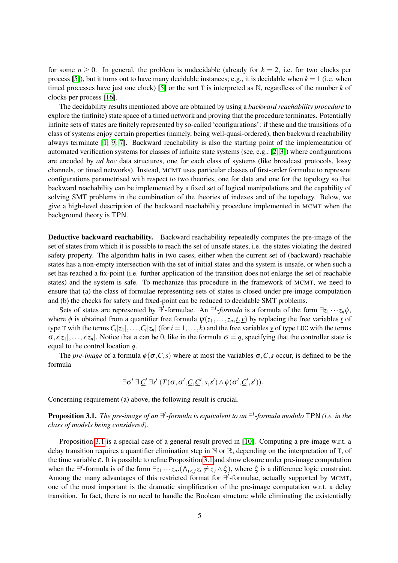for some  $n > 0$ . In general, the problem is undecidable (already for  $k = 2$ , i.e. for two clocks per process [\[5\]](#page-13-1)), but it turns out to have many decidable instances; e.g., it is decidable when  $k = 1$  (i.e. when timed processes have just one clock) [\[5\]](#page-13-1) or the sort T is interpreted as  $\mathbb{N}$ , regardless of the number  $k$  of clocks per process [\[16\]](#page-13-7).

The decidability results mentioned above are obtained by using a *backward reachability procedure* to explore the (infinite) state space of a timed network and proving that the procedure terminates. Potentially infinite sets of states are finitely represented by so-called 'configurations': if these and the transitions of a class of systems enjoy certain properties (namely, being well-quasi-ordered), then backward reachability always terminate [\[1,](#page-13-8) [9,](#page-13-9) [7\]](#page-13-10). Backward reachability is also the starting point of the implementation of automated verification systems for classes of infinite state systems (see, e.g., [\[2,](#page-13-5) [3\]](#page-13-3)) where configurations are encoded by *ad hoc* data structures, one for each class of systems (like broadcast protocols, lossy channels, or timed networks). Instead, MCMT uses particular classes of first-order formulae to represent configurations parametrised with respect to two theories, one for data and one for the topology so that backward reachability can be implemented by a fixed set of logical manipulations and the capability of solving SMT problems in the combination of the theories of indexes and of the topology. Below, we give a high-level description of the backward reachability procedure implemented in MCMT when the background theory is TPN.

Deductive backward reachability. Backward reachability repeatedly computes the pre-image of the set of states from which it is possible to reach the set of unsafe states, i.e. the states violating the desired safety property. The algorithm halts in two cases, either when the current set of (backward) reachable states has a non-empty intersection with the set of initial states and the system is unsafe, or when such a set has reached a fix-point (i.e. further application of the transition does not enlarge the set of reachable states) and the system is safe. To mechanize this procedure in the framework of MCMT, we need to ensure that (a) the class of formulae representing sets of states is closed under pre-image computation and (b) the checks for safety and fixed-point can be reduced to decidable SMT problems.

Sets of states are represented by  $\exists^{I}$ -formulae. An  $\exists^{I}$ -*formula* is a formula of the form  $\exists z_1 \cdots z_n \phi$ , where  $\phi$  is obtained from a quantifier free formula  $\psi(z_1,...,z_n,t,\underline{v})$  by replacing the free variables <u>*t*</u> of type T with the terms  $C_i[z_1], \ldots, C_i[z_n]$  (for  $i = 1, \ldots, k$ ) and the free variables  $\underline{v}$  of type LOC with the terms  $\sigma$ ,  $s[z_1], \ldots, s[z_n]$ . Notice that *n* can be 0, like in the formula  $\sigma = q$ , specifying that the controller state is equal to the control location *q*.

The *pre-image* of a formula  $\phi(\sigma, C, s)$  where at most the variables  $\sigma, C, s$  occur, is defined to be the formula

$$
\exists \sigma' \ \exists \underline{C}' \ \exists s' \ (T(\sigma, \sigma', \underline{C}, \underline{C}', s, s') \land \phi(\sigma', \underline{C}', s')).
$$

<span id="page-4-0"></span>Concerning requirement (a) above, the following result is crucial.

**Proposition 3.1.** The pre-image of an ∃<sup>*I*</sup>-formula is equivalent to an ∃<sup>*I*</sup>-formula modulo</sup> TPN (i.e. in the *class of models being considered).*

Proposition [3.1](#page-4-0) is a special case of a general result proved in [\[10\]](#page-13-11). Computing a pre-image w.r.t. a delay transition requires a quantifier elimination step in  $\mathbb N$  or  $\mathbb R$ , depending on the interpretation of T, of the time variable  $\varepsilon$ . It is possible to refine Proposition [3.1](#page-4-0) and show closure under pre-image computation when the  $\exists^{I}$ -formula is of the form  $\exists z_1 \cdots z_n$ .( $\bigwedge_{i \leq j} z_i \neq z_j \wedge \xi$ ), where  $\xi$  is a difference logic constraint. Among the many advantages of this restricted format for <sup>∃*I*</sup>-formulae, actually supported by MCMT, one of the most important is the dramatic simplification of the pre-image computation w.r.t. a delay transition. In fact, there is no need to handle the Boolean structure while eliminating the existentially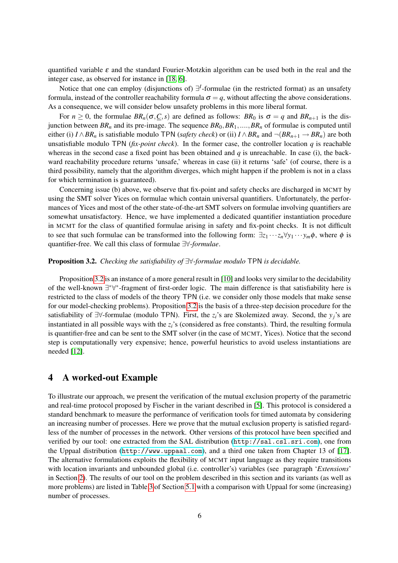quantified variable  $\varepsilon$  and the standard Fourier-Motzkin algorithm can be used both in the real and the integer case, as observed for instance in [\[18,](#page-13-12) [6\]](#page-13-13).

Notice that one can employ (disjunctions of) ∃ *I* -formulae (in the restricted format) as an unsafety formula, instead of the controller reachability formula  $\sigma = q$ , without affecting the above considerations. As a consequence, we will consider below unsafety problems in this more liberal format.

For  $n \geq 0$ , the formulae  $BR_n(\sigma, C, s)$  are defined as follows:  $BR_0$  is  $\sigma = q$  and  $BR_{n+1}$  is the disjunction between  $BR_n$  and its pre-image. The sequence  $BR_0, BR_1, \ldots, BR_n$  of formulae is computed until either (i)  $I \wedge BR_n$  is satisfiable modulo TPN (*safety check*) or (ii)  $I \wedge BR_n$  and  $\neg(BR_{n+1} \rightarrow BR_n)$  are both unsatisfiable modulo TPN ( $fix$ -*point check*). In the former case, the controller location  $q$  is reachable whereas in the second case a fixed point has been obtained and *q* is unreachable. In case (i), the backward reachability procedure returns 'unsafe,' whereas in case (ii) it returns 'safe' (of course, there is a third possibility, namely that the algorithm diverges, which might happen if the problem is not in a class for which termination is guaranteed).

Concerning issue (b) above, we observe that fix-point and safety checks are discharged in MCMT by using the SMT solver Yices on formulae which contain universal quantifiers. Unfortunately, the performances of Yices and most of the other state-of-the-art SMT solvers on formulae involving quantifiers are somewhat unsatisfactory. Hence, we have implemented a dedicated quantifier instantiation procedure in MCMT for the class of quantified formulae arising in safety and fix-point checks. It is not difficult to see that such formulae can be transformed into the following form:  $\exists z_1 \cdots z_n \forall y_1 \cdots y_m \phi$ , where  $\phi$  is quantifier-free. We call this class of formulae ∃∀*-formulae*.

#### <span id="page-5-0"></span>Proposition 3.2. *Checking the satisfiability of* ∃∀*-formulae modulo* TPN *is decidable.*

Proposition [3.2](#page-5-0) is an instance of a more general result in [\[10\]](#page-13-11) and looks very similar to the decidability of the well-known ∃\*∀\*-fragment of first-order logic. The main difference is that satisfiability here is restricted to the class of models of the theory TPN (i.e. we consider only those models that make sense for our model-checking problems). Proposition [3.2](#page-5-0) is the basis of a three-step decision procedure for the satisfiability of ∃∀-formulae (modulo TPN). First, the *zi*'s are Skolemized away. Second, the *yj*'s are instantiated in all possible ways with the *zi*'s (considered as free constants). Third, the resulting formula is quantifier-free and can be sent to the SMT solver (in the case of MCMT, Yices). Notice that the second step is computationally very expensive; hence, powerful heuristics to avoid useless instantiations are needed [\[12\]](#page-13-14).

## <span id="page-5-1"></span>4 A worked-out Example

To illustrate our approach, we present the verification of the mutual exclusion property of the parametric and real-time protocol proposed by Fischer in the variant described in [\[5\]](#page-13-1). This protocol is considered a standard benchmark to measure the performance of verification tools for timed automata by considering an increasing number of processes. Here we prove that the mutual exclusion property is satisfied regardless of the number of processes in the network. Other versions of this protocol have been specified and verified by our tool: one extracted from the SAL distribution (<http://sal.csl.sri.com>), one from the Uppaal distribution (<http://www.uppaal.com>), and a third one taken from Chapter 13 of [\[17\]](#page-13-15). The alternative formulations exploits the flexibility of MCMT input language as they require transitions with location invariants and unbounded global (i.e. controller's) variables (see paragraph '*Extensions*' in Section [2\)](#page-1-0). The results of our tool on the problem described in this section and its variants (as well as more problems) are listed in Table [3](#page-12-0) of Section [5.1](#page-11-0) with a comparison with Uppaal for some (increasing) number of processes.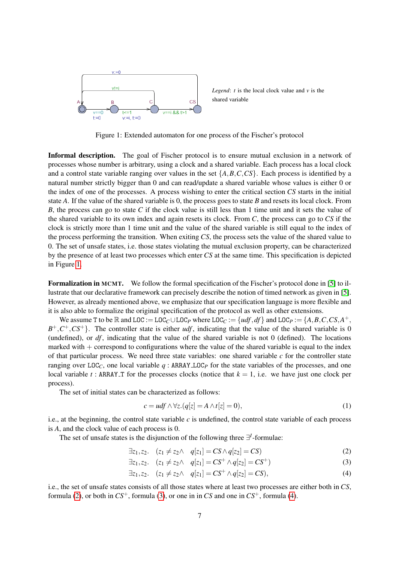

*Legend*:  $t$  is the local clock value and  $v$  is the shared variable

<span id="page-6-0"></span>Figure 1: Extended automaton for one process of the Fischer's protocol

Informal description. The goal of Fischer protocol is to ensure mutual exclusion in a network of processes whose number is arbitrary, using a clock and a shared variable. Each process has a local clock and a control state variable ranging over values in the set  $\{A, B, C, CS\}$ . Each process is identified by a natural number strictly bigger than 0 and can read/update a shared variable whose values is either 0 or the index of one of the processes. A process wishing to enter the critical section *CS* starts in the initial state *A*. If the value of the shared variable is 0, the process goes to state *B* and resets its local clock. From *B*, the process can go to state *C* if the clock value is still less than 1 time unit and it sets the value of the shared variable to its own index and again resets its clock. From *C*, the process can go to *CS* if the clock is strictly more than 1 time unit and the value of the shared variable is still equal to the index of the process performing the transition. When exiting *CS*, the process sets the value of the shared value to 0. The set of unsafe states, i.e. those states violating the mutual exclusion property, can be characterized by the presence of at least two processes which enter *CS* at the same time. This specification is depicted in Figure [1.](#page-6-0)

Formalization in MCMT. We follow the formal specification of the Fischer's protocol done in [\[5\]](#page-13-1) to illustrate that our declarative framework can precisely describe the notion of timed network as given in [\[5\]](#page-13-1). However, as already mentioned above, we emphasize that our specification language is more flexible and it is also able to formalize the original specification of the protocol as well as other extensions.

We assume T to be  $\mathbb R$  and  $LOC := LOC_C \cup LOC_P$  where  $LOC_C := \{udf, df\}$  and  $LOC_P := \{A, B, C, CS, A^+,$  $B^+, C^+, CS^+$ . The controller state is either *udf*, indicating that the value of the shared variable is 0 (undefined), or *df* , indicating that the value of the shared variable is not 0 (defined). The locations marked with  $+$  correspond to configurations where the value of the shared variable is equal to the index of that particular process. We need three state variables: one shared variable *c* for the controller state ranging over  $LOC_C$ , one local variable  $q$ : ARRAY LOC<sub>P</sub> for the state variables of the processes, and one local variable *t* : ARRAY T for the processes clocks (notice that  $k = 1$ , i.e. we have just one clock per process).

The set of initial states can be characterized as follows:

<span id="page-6-2"></span>
$$
c = udf \wedge \forall z. (q[z] = A \wedge t[z] = 0), \tag{1}
$$

i.e., at the beginning, the control state variable  $c$  is undefined, the control state variable of each process is *A*, and the clock value of each process is 0.

The set of unsafe states is the disjunction of the following three ∃<sup>*I*</sup>-formulae:

$$
\exists z_1, z_2. \quad (z_1 \neq z_2 \land \quad q[z_1] = CS \land q[z_2] = CS)
$$
 (2)

<span id="page-6-1"></span>
$$
\exists z_1, z_2. \quad (z_1 \neq z_2 \land \quad q[z_1] = CS^+ \land q[z_2] = CS^+) \tag{3}
$$

$$
\exists z_1, z_2. \quad (z_1 \neq z_2 \land \quad q[z_1] = CS^+ \land q[z_2] = CS), \tag{4}
$$

i.e., the set of unsafe states consists of all those states where at least two processes are either both in *CS*, formula [\(2\)](#page-6-1), or both in  $CS^+$ , formula [\(3\)](#page-6-1), or one in in *CS* and one in  $CS^+$ , formula [\(4\)](#page-6-1).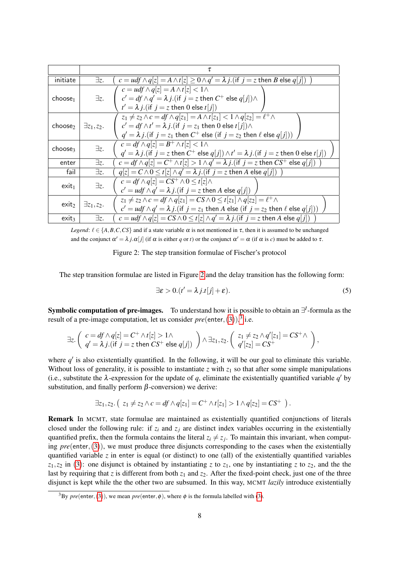| initiate            | ∃z.                 | $c = u df \wedge q[z] = A \wedge t[z] \ge 0 \wedge q' = \lambda i$ . (if $i = z$ then B else $q[i]$ )                                                                                                                                                               |
|---------------------|---------------------|---------------------------------------------------------------------------------------------------------------------------------------------------------------------------------------------------------------------------------------------------------------------|
| choose <sub>1</sub> | Ξz.                 | $c = u df \wedge q[z] = A \wedge t[z] < 1 \wedge$<br>$c' = df \wedge q' = \lambda j$ . (if $j = z$ then $C^+$ else $q[j] \wedge$<br>$t' = \lambda i$ . (if $i = z$ then 0 else $t[i]$ )                                                                             |
| choose <sub>2</sub> | $\exists z_1, z_2.$ | $z_1 \neq z_2 \land c = df \land q[z_1] = A \land t[z_1] < 1 \land q[z_2] = \ell^+ \land$<br>$c' = df \wedge t' = \lambda j$ . (if $j = z_1$ then 0 else $t[j] \wedge$<br>$q' = \lambda j$ . (if $j = z_1$ then $C^+$ else (if $j = z_2$ then $\ell$ else $q(j )$ ) |
| choose3             | $\exists z.$        | $c = df \wedge q[z] = B^+ \wedge t[z] < 1 \wedge$<br>$q' = \lambda j$ . (if $j = z$ then $C^+$ else $q[j] \wedge t' = \lambda j$ . (if $j = z$ then 0 else $t[j]$ )                                                                                                 |
| enter               | $\exists z.$        | $c = df \wedge q[z] = C^+ \wedge t[z] > 1 \wedge q' = \lambda j$ . (if $j = z$ then $CS^+$ else $q[j]$ )                                                                                                                                                            |
| fail                | $\exists z.$        | $q[z] = C \wedge 0 \le t[z] \wedge q' = \lambda j$ . (if $j = z$ then A else $q[j]$ )                                                                                                                                                                               |
| exit <sub>1</sub>   | $\exists z.$        | $c = df \wedge q[z] = CS^+ \wedge 0 \leq t[z] \wedge$<br>$c' = u df \wedge q' = \lambda j$ . (if $j = z$ then A else $q[j]$ )                                                                                                                                       |
| exit <sub>2</sub>   | $\exists z_1, z_2.$ | $z_1 \neq z_2 \wedge c = df \wedge q[z_1] = CS \wedge 0 \leq t[z_1] \wedge q[z_2] = \ell^+ \wedge$<br>$c' = u df \wedge q' = \lambda j$ . (if $j = z_1$ then A else (if $j = z_2$ then $\ell$ else $q[j])$ )                                                        |
| exit <sub>3</sub>   | ∃z.                 | $c = u df \wedge q[z] = CS \wedge 0 \le t[z] \wedge q' = \lambda j$ . (if $j = z$ then A else $q[j]$ )                                                                                                                                                              |

*Legend*:  $\ell \in \{A, B, C, CS\}$  and if a state variable  $\alpha$  is not mentioned in  $\tau$ , then it is assumed to be unchanged and the conjunct  $\alpha' = \lambda j \cdot \alpha[j]$  (if  $\alpha$  is either q or t) or the conjunct  $\alpha' = \alpha$  (if  $\alpha$  is c) must be added to  $\tau$ .

<span id="page-7-0"></span>Figure 2: The step transition formulae of Fischer's protocol

The step transition formulae are listed in Figure [2](#page-7-0) and the delay transition has the following form:

<span id="page-7-1"></span>
$$
\exists \varepsilon > 0. (t' = \lambda j.t[j] + \varepsilon). \tag{5}
$$

<span id="page-7-2"></span>**Symbolic computation of pre-images.** To understand how it is possible to obtain an ∃<sup>*I*</sup>-formula as the result of a pre-image computation, let us consider  $pre(\text{enter}, (3)),^3$  $pre(\text{enter}, (3)),^3$  $pre(\text{enter}, (3)),^3$  i.e.

$$
\exists z.\left(\begin{array}{l} c=df\wedge q[z]=C^+\wedge t[z]>1\wedge\\ q'=\lambda\,j.(if\,\,j=z\,\,then\,\,CS^+\,\,else\,\,q[j])\end{array}\right)\wedge \exists z_1,z_2.\left(\begin{array}{l} z_1\neq z_2\wedge q'[z_1]=CS^+\wedge\\ q'[z_2]=CS^+\end{array}\right),
$$

where  $q'$  is also existentially quantified. In the following, it will be our goal to eliminate this variable. Without loss of generality, it is possible to instantiate  $\zeta$  with  $\zeta_1$  so that after some simple manipulations (i.e., substitute the  $\lambda$ -expression for the update of  $q$ , eliminate the existentially quantified variable  $q'$  by substitution, and finally perform  $\beta$ -conversion) we derive:

$$
\exists z_1, z_2. (z_1 \neq z_2 \land c = df \land q[z_1] = C^+ \land t[z_1] > 1 \land q[z_2] = CS^+).
$$

Remark In MCMT, state formulae are maintained as existentially quantified conjunctions of literals closed under the following rule: if *z<sup>i</sup>* and *z<sup>j</sup>* are distinct index variables occurring in the existentially quantified prefix, then the formula contains the literal  $z_i \neq z_j$ . To maintain this invariant, when computing *pre*(enter,([3](#page-6-1))), we must produce three disjuncts corresponding to the cases when the existentially quantified variable *z* in enter is equal (or distinct) to one (all) of the existentially quantified variables  $z_1$ , $z_2$  in ([3](#page-6-1)): one disjunct is obtained by instantiating *z* to  $z_1$ , one by instantiating *z* to  $z_2$ , and the the last by requiring that *z* is different from both  $z_1$  and  $z_2$ . After the fixed-point check, just one of the three disjunct is kept while the the other two are subsumed. In this way, MCMT *lazily* introduce existentially

<sup>&</sup>lt;sup>[3](#page-6-1)</sup>By *pre*(enter, [\(3\)](#page-6-1)), we mean *pre*(enter,  $\phi$ ), where  $\phi$  is the formula labelled with (3).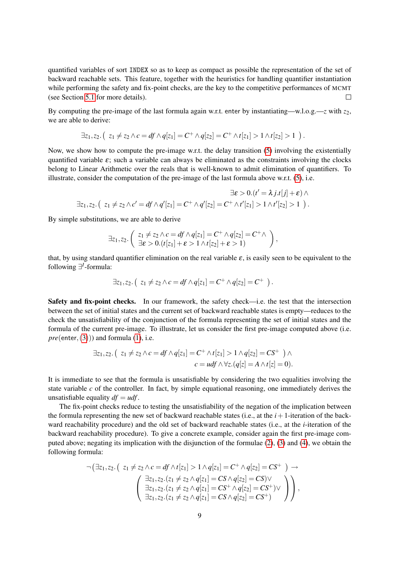quantified variables of sort INDEX so as to keep as compact as possible the representation of the set of backward reachable sets. This feature, together with the heuristics for handling quantifier instantiation while performing the safety and fix-point checks, are the key to the competitive performances of MCMT (see Section [5.1](#page-11-0) for more details).  $\Box$ 

By computing the pre-image of the last formula again w.r.t. enter by instantiating—w.l.o.g.—*z* with *z*<sub>2</sub>, we are able to derive:

$$
\exists z_1, z_2. (z_1 \neq z_2 \land c = df \land q[z_1] = C^+ \land q[z_2] = C^+ \land t[z_1] > 1 \land t[z_2] > 1).
$$

Now, we show how to compute the pre-image w.r.t. the delay transition [\(5\)](#page-7-1) involving the existentially quantified variable  $\varepsilon$ ; such a variable can always be eliminated as the constraints involving the clocks belong to Linear Arithmetic over the reals that is well-known to admit elimination of quantifiers. To illustrate, consider the computation of the pre-image of the last formula above w.r.t. [\(5\)](#page-7-1), i.e.

$$
\exists \varepsilon > 0. (t' = \lambda j.t[j] + \varepsilon) \wedge
$$
  

$$
\exists z_1, z_2. (z_1 \neq z_2 \wedge c' = df \wedge q'[z_1] = C^+ \wedge q'[z_2] = C^+ \wedge t'[z_1] > 1 \wedge t'[z_2] > 1).
$$

By simple substitutions, we are able to derive

$$
\exists z_1, z_2. \left( \begin{array}{c} z_1 \neq z_2 \land c = df \land q[z_1] = C^+ \land q[z_2] = C^+ \land \\ \exists \varepsilon > 0. (t[z_1] + \varepsilon > 1 \land t[z_2] + \varepsilon > 1) \end{array} \right),
$$

that, by using standard quantifier elimination on the real variable  $\varepsilon$ , is easily seen to be equivalent to the following ∃<sup>*I*</sup>-formula:

$$
\exists z_1, z_2. (z_1 \neq z_2 \land c = df \land q[z_1] = C^+ \land q[z_2] = C^+).
$$

Safety and fix-point checks. In our framework, the safety check—i.e. the test that the intersection between the set of initial states and the current set of backward reachable states is empty—reduces to the check the unsatisfiability of the conjunction of the formula representing the set of initial states and the formula of the current pre-image. To illustrate, let us consider the first pre-image computed above (i.e. *pre*(enter, ([3](#page-6-1)))) and formula [\(1\)](#page-6-2), i.e.

$$
\exists z_1, z_2. (z_1 \neq z_2 \land c = df \land q[z_1] = C^+ \land t[z_1] > 1 \land q[z_2] = CS^+ ) \land
$$
  

$$
c = udf \land \forall z. (q[z] = A \land t[z] = 0).
$$

It is immediate to see that the formula is unsatisfiable by considering the two equalities involving the state variable *c* of the controller. In fact, by simple equational reasoning, one immediately derives the unsatisfiable equality  $df = u df$ .

The fix-point checks reduce to testing the unsatisfiability of the negation of the implication between the formula representing the new set of backward reachable states (i.e., at the  $i+1$ -iteration of the backward reachability procedure) and the old set of backward reachable states (i.e., at the *i*-iteration of the backward reachability procedure). To give a concrete example, consider again the first pre-image computed above; negating its implication with the disjunction of the formulae [\(2\)](#page-6-1), [\(3\)](#page-6-1) and [\(4\)](#page-6-1), we obtain the following formula:

$$
\neg (\exists z_1, z_2. ( z_1 \neq z_2 \land c = df \land t[z_1] > 1 \land q[z_1] = C^+ \land q[z_2] = CS^+ ) \rightarrow
$$
  

$$
\begin{pmatrix} \exists z_1, z_2. (z_1 \neq z_2 \land q[z_1] = CS \land q[z_2] = CS) \lor \\ \exists z_1, z_2. (z_1 \neq z_2 \land q[z_1] = CS^+ \land q[z_2] = CS^+) \lor \\ \exists z_1, z_2. (z_1 \neq z_2 \land q[z_1] = CS \land q[z_2] = CS^+) \end{pmatrix},
$$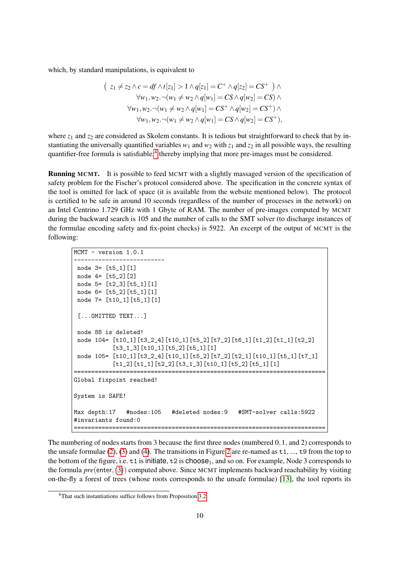which, by standard manipulations, is equivalent to

$$
z_1 \neq z_2 \land c = df \land t[z_1] > 1 \land q[z_1] = C^+ \land q[z_2] = CS^+ ) \land
$$
  
\n
$$
\forall w_1, w_2. \neg(w_1 \neq w_2 \land q[w_1] = CS \land q[w_2] = CS) \land
$$
  
\n
$$
\forall w_1, w_2. \neg(w_1 \neq w_2 \land q[w_1] = CS^+ \land q[w_2] = CS^+) \land
$$
  
\n
$$
\forall w_1, w_2. \neg(w_1 \neq w_2 \land q[w_1] = CS \land q[w_2] = CS^+),
$$

where  $z_1$  and  $z_2$  are considered as Skolem constants. It is tedious but straightforward to check that by instantiating the universally quantified variables  $w_1$  and  $w_2$  with  $z_1$  and  $z_2$  in all possible ways, the resulting quantifier-free formula is satisfiable;<sup>[4](#page-0-0)</sup> thereby implying that more pre-images must be considered.

Running MCMT. It is possible to feed MCMT with a slightly massaged version of the specification of safety problem for the Fischer's protocol considered above. The specification in the concrete syntax of the tool is omitted for lack of space (it is available from the website mentioned below). The protocol is certified to be safe in around 10 seconds (regardless of the number of processes in the network) on an Intel Centrino 1.729 GHz with 1 Gbyte of RAM. The number of pre-images computed by MCMT during the backward search is 105 and the number of calls to the SMT solver (to discharge instances of the formulae encoding safety and fix-point checks) is 5922. An excerpt of the output of MCMT is the following:

```
MCMT - version 1.0.1
--------------------------
node 3= [t5_1][1]
node 4= [t5_2][2]
 node 5= [t2_3][t5_1][1]
 node 6= [t5_2][t5_1][1]
 node 7= [t10_1][t5_1][1]
 [...OMITTED TEXT...]
 node 88 is deleted!
 node 104= [t10_1][t3_2_4][t10_1][t5_2][t7_2][t6_1][t1_2][t1_1][t2_2]
           [t3_1_3][t10_1][t5_2][t5_1][1]
 node 105= [t10_1][t3_2_4][t10_1][t5_2][t7_2][t2_1][t10_1][t5_1][t7_1]
           [t1_2] [t1_1] [t2_2] [t3_1_3] [t10_1] [t5_2] [t5_1] [1]========================================================================
Global fixpoint reached!
System is SAFE!
Max depth:17 #nodes:105 #deleted nodes:9 #SMT-solver calls:5922
#invariants found:0
========================================================================
```
The numbering of nodes starts from 3 because the first three nodes (numbered 0,1, and 2) corresponds to the unsafe formulae [\(2\)](#page-6-1), [\(3\)](#page-6-1) and [\(4\)](#page-6-1). The transitions in Figure [2](#page-7-0) are re-named as t1, ..., t9 from the top to the bottom of the figure, i.e.  $t1$  is initiate,  $t2$  is choose<sub>1</sub>, and so on. For example, Node 3 corresponds to the formula *pre*(enter,([3](#page-6-1))) computed above. Since MCMT implements backward reachability by visiting on-the-fly a forest of trees (whose roots corresponds to the unsafe formulae) [\[13\]](#page-13-2), the tool reports its

<sup>4</sup>That such instantiations suffice follows from Proposition [3.2.](#page-5-0)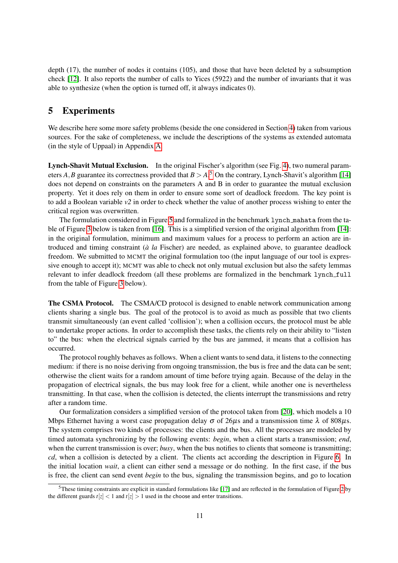depth (17), the number of nodes it contains (105), and those that have been deleted by a subsumption check [\[12\]](#page-13-14). It also reports the number of calls to Yices (5922) and the number of invariants that it was able to synthesize (when the option is turned off, it always indicates 0).

# 5 Experiments

We describe here some more safety problems (beside the one considered in Section [4\)](#page-5-1) taken from various sources. For the sake of completeness, we include the descriptions of the systems as extended automata (in the style of Uppaal) in Appendix [A.](#page-14-0)

Lynch-Shavit Mutual Exclusion. In the original Fischer's algorithm (see Fig. [4\)](#page-14-1), two numeral parameters *A*, *B* guarantee its correctness provided that  $B > A$ .<sup>[5](#page-0-0)</sup> On the contrary, Lynch-Shavit's algorithm [\[14\]](#page-13-16) does not depend on constraints on the parameters A and B in order to guarantee the mutual exclusion property. Yet it does rely on them in order to ensure some sort of deadlock freedom. The key point is to add a Boolean variable *v2* in order to check whether the value of another process wishing to enter the critical region was overwritten.

The formulation considered in Figure [5](#page-14-2) and formalized in the benchmark lynch mahata from the table of Figure [3](#page-12-0) below is taken from [\[16\]](#page-13-7). This is a simplified version of the original algorithm from [\[14\]](#page-13-16): in the original formulation, minimum and maximum values for a process to perform an action are introduced and timing constraint (*a la `* Fischer) are needed, as explained above, to guarantee deadlock freedom. We submitted to MCMT the original formulation too (the input language of our tool is expressive enough to accept it); MCMT was able to check not only mutual exclusion but also the safety lemmas relevant to infer deadlock freedom (all these problems are formalized in the benchmark lynch full from the table of Figure [3](#page-12-0) below).

The CSMA Protocol. The CSMA/CD protocol is designed to enable network communication among clients sharing a single bus. The goal of the protocol is to avoid as much as possible that two clients transmit simultaneously (an event called 'collision'); when a collision occurs, the protocol must be able to undertake proper actions. In order to accomplish these tasks, the clients rely on their ability to "listen to" the bus: when the electrical signals carried by the bus are jammed, it means that a collision has occurred.

The protocol roughly behaves as follows. When a client wants to send data, it listens to the connecting medium: if there is no noise deriving from ongoing transmission, the bus is free and the data can be sent; otherwise the client waits for a random amount of time before trying again. Because of the delay in the propagation of electrical signals, the bus may look free for a client, while another one is nevertheless transmitting. In that case, when the collision is detected, the clients interrupt the transmissions and retry after a random time.

Our formalization considers a simplified version of the protocol taken from [\[20\]](#page-13-17), which models a 10 Mbps Ethernet having a worst case propagation delay  $\sigma$  of 26 $\mu$ s and a transmission time  $\lambda$  of 808 $\mu$ s. The system comprises two kinds of processes: the clients and the bus. All the processes are modeled by timed automata synchronizing by the following events: *begin*, when a client starts a transmission; *end*, when the current transmission is over; *busy*, when the bus notifies to clients that someone is transmitting; *cd*, when a collision is detected by a client. The clients act according the description in Figure [6.](#page-15-0) In the initial location *wait*, a client can either send a message or do nothing. In the first case, if the bus is free, the client can send event *begin* to the bus, signaling the transmission begins, and go to location

 $5$ These timing constraints are explicit in standard formulations like [\[17\]](#page-13-15) and are reflected in the formulation of Figure [2](#page-7-0) by the different guards  $t[z] < 1$  and  $t[z] > 1$  used in the choose and enter transitions.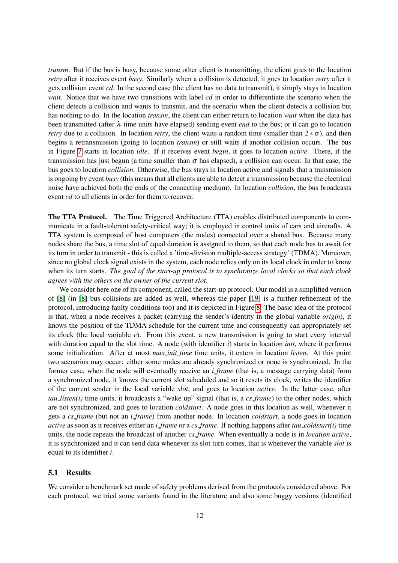*transm*. But if the bus is busy, because some other client is transmitting, the client goes to the location *retry* after it receives event *busy*. Similarly when a collision is detected, it goes to location *retry* after it gets collision event *cd*. In the second case (the client has no data to transmit), it simply stays in location *wait*. Notice that we have two transitions with label *cd* in order to differentiate the scenario when the client detects a collision and wants to transmit, and the scenario when the client detects a collision but has nothing to do. In the location *transm*, the client can either return to location *wait* when the data has been transmitted (after  $\lambda$  time units have elapsed) sending event *end* to the bus; or it can go to location *retry* due to a collision. In location *retry*, the client waits a random time (smaller than  $2 * \sigma$ ), and then begins a retransmission (going to location *transm*) or still waits if another collision occurs. The bus in Figure [7](#page-15-1) starts in location *idle*. If it receives event *begin*, it goes to location *active*. There, if the transmission has just begun (a time smaller than  $\sigma$  has elapsed), a collision can occur. In that case, the bus goes to location *collision*. Otherwise, the bus stays in location active and signals that a transmission is ongoing by event *busy* (this means that all clients are able to detect a transmission because the electrical noise have achieved both the ends of the connecting medium). In location *collision*, the bus broadcasts event *cd* to all clients in order for them to recover.

The TTA Protocol. The Time Triggered Architecture (TTA) enables distributed components to communicate in a fault-tolerant safety-critical way; it is employed in control units of cars and aircrafts. A TTA system is composed of host computers (the nodes) connected over a shared bus. Because many nodes share the bus, a time slot of equal duration is assigned to them, so that each node has to await for its turn in order to transmit - this is called a 'time-division multiple-access strategy' (TDMA). Moreover, since no global clock signal exists in the system, each node relies only on its local clock in order to know when its turn starts. *The goal of the start-up protocol is to synchronize local clocks so that each clock agrees with the others on the owner of the current slot*.

We consider here one of its component, called the start-up protocol. Our model is a simplified version of [\[8\]](#page-13-18) (in [\[8\]](#page-13-18) bus collisions are added as well, whereas the paper [\[19\]](#page-13-19) is a further refinement of the protocol, introducing faulty conditions too) and it is depicted in Figure [8.](#page-15-2) The basic idea of the protocol is that, when a node receives a packet (carrying the sender's identity in the global variable *origin*), it knows the position of the TDMA schedule for the current time and consequently can appropriately set its clock (the local variable *c*). From this event, a new transmission is going to start every interval with duration equal to the slot time. A node (with identifier *i*) starts in location *init*, where it performs some initialization. After at most *max init time* time units, it enters in location *listen*. At this point two scenarios may occur: either some nodes are already synchronized or none is synchronized. In the former case, when the node will eventually receive an *i frame* (that is, a message carrying data) from a synchronized node, it knows the current slot scheduled and so it resets its clock, writes the identifier of the current sender in the local variable *slot*, and goes to location *active*. In the latter case, after *tau listen(i)* time units, it broadcasts a "wake up" signal (that is, a *cs frame*) to the other nodes, which are not synchronized, and goes to location *coldstart*. A node goes in this location as well, whenever it gets a *cs frame* (but not an *i frame*) from another node. In location *coldstart*, a node goes in location *active* as soon as it receives either an *i frame* or a *cs frame*. If nothing happens after *tau coldstart(i)* time units, the node repeats the broadcast of another *cs frame*. When eventually a node is in *location active*, it is synchronized and it can send data whenever its slot turn comes, that is whenever the variable *slot* is equal to its identifier *i*.

#### <span id="page-11-0"></span>5.1 Results

We consider a benchmark set made of safety problems derived from the protocols considered above. For each protocol, we tried some variants found in the literature and also some buggy versions (identified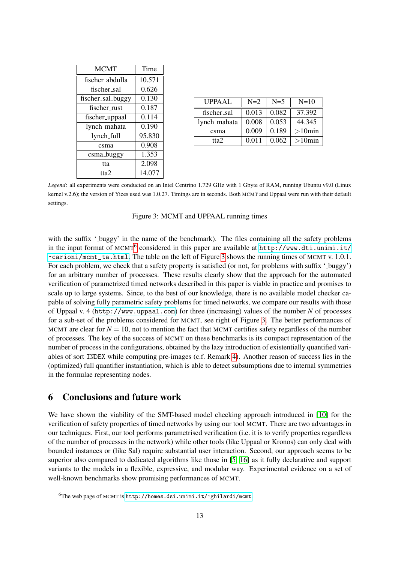| <b>MCMT</b>       | Time   |  |
|-------------------|--------|--|
| fischer_abdulla   | 10.571 |  |
| fischer_sal       | 0.626  |  |
| fischer_sal_buggy | 0.130  |  |
| fischer_rust      | 0.187  |  |
| fischer_uppaal    | 0.114  |  |
| lynch_mahata      | 0.190  |  |
| lynch_full        | 95.830 |  |
| csma              | 0.908  |  |
| csma_buggy        | 1.353  |  |
| tta               | 2.098  |  |
| tta2              | 14.077 |  |

| <b>UPPAAL</b> | $N=2$ | $N=5$ | $N=10$    |
|---------------|-------|-------|-----------|
| fischer_sal   | 0.013 | 0.082 | 37.392    |
| lynch_mahata  | 0.008 | 0.053 | 44.345    |
| csma          | 0.009 | 0.189 | $>10$ min |
| tta2          | 0.011 | 0.062 | $>10$ min |

*Legend*: all experiments were conducted on an Intel Centrino 1.729 GHz with 1 Gbyte of RAM, running Ubuntu v9.0 (Linux kernel v.2.6); the version of Yices used was 1.0.27. Timings are in seconds. Both MCMT and Uppaal were run with their default settings.

<span id="page-12-0"></span>

|  |  | Figure 3: MCMT and UPPAAL running times |  |  |
|--|--|-----------------------------------------|--|--|
|--|--|-----------------------------------------|--|--|

with the suffix '\_buggy' in the name of the benchmark). The files containing all the safety problems in the input format of MCMT<sup>[6](#page-0-0)</sup> considered in this paper are available at [http://www.dti.unimi.it/](http://www.dti.unimi.it/~carioni/mcmt_ta.html) [~carioni/mcmt\\_ta.html](http://www.dti.unimi.it/~carioni/mcmt_ta.html). The table on the left of Figure [3](#page-12-0) shows the running times of MCMT v. 1.0.1. For each problem, we check that a safety property is satisfied (or not, for problems with suffix '\_buggy') for an arbitrary number of processes. These results clearly show that the approach for the automated verification of parametrized timed networks described in this paper is viable in practice and promises to scale up to large systems. Since, to the best of our knowledge, there is no available model checker capable of solving fully parametric safety problems for timed networks, we compare our results with those of Uppaal v. 4 (<http://www.uppaal.com>) for three (increasing) values of the number *N* of processes for a sub-set of the problems considered for MCMT, see right of Figure [3.](#page-12-0) The better performances of MCMT are clear for  $N = 10$ , not to mention the fact that MCMT certifies safety regardless of the number of processes. The key of the success of MCMT on these benchmarks is its compact representation of the number of process in the configurations, obtained by the lazy introduction of existentially quantified variables of sort INDEX while computing pre-images (c.f. Remark [4\)](#page-7-2). Another reason of success lies in the (optimized) full quantifier instantiation, which is able to detect subsumptions due to internal symmetries in the formulae representing nodes.

## 6 Conclusions and future work

We have shown the viability of the SMT-based model checking approach introduced in [\[10\]](#page-13-11) for the verification of safety properties of timed networks by using our tool MCMT. There are two advantages in our techniques. First, our tool performs parametrised verification (i.e. it is to verify properties regardless of the number of processes in the network) while other tools (like Uppaal or Kronos) can only deal with bounded instances or (like Sal) require substantial user interaction. Second, our approach seems to be superior also compared to dedicated algorithms like those in [\[5,](#page-13-1) [16\]](#page-13-7) as it fully declarative and support variants to the models in a flexible, expressive, and modular way. Experimental evidence on a set of well-known benchmarks show promising performances of MCMT.

<sup>&</sup>lt;sup>6</sup>The web page of MCMT is <http://homes.dsi.unimi.it/~ghilardi/mcmt>.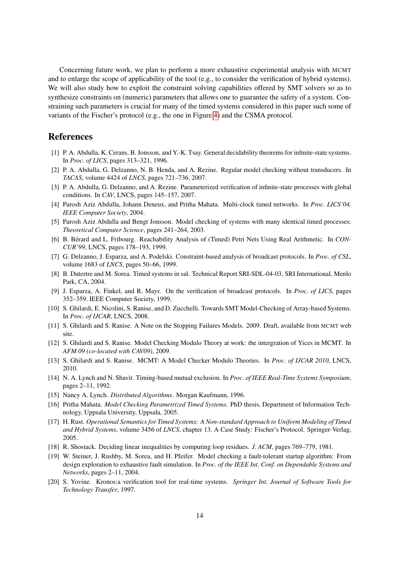Concerning future work, we plan to perform a more exhaustive experimental analysis with MCMT and to enlarge the scope of applicability of the tool (e.g., to consider the verification of hybrid systems). We will also study how to exploit the constraint solving capabilities offered by SMT solvers so as to synthesize constraints on (numeric) parameters that allows one to guarantee the safety of a system. Constraining such parameters is crucial for many of the timed systems considered in this paper such some of variants of the Fischer's protocol (e.g., the one in Figure [4\)](#page-14-1) and the CSMA protocol.

#### References

- <span id="page-13-8"></span>[1] P. A. Abdulla, K. Cerans, B. Jonsson, and Y.-K. Tsay. General decidability theorems for infinite-state systems. In *Proc. of LICS*, pages 313–321, 1996.
- <span id="page-13-5"></span>[2] P. A. Abdulla, G. Delzanno, N. B. Henda, and A. Rezine. Regular model checking without transducers. In *TACAS*, volume 4424 of *LNCS*, pages 721–736, 2007.
- <span id="page-13-3"></span>[3] P. A. Abdulla, G. Delzanno, and A. Rezine. Parameterized verification of infinite-state processes with global conditions. In *CAV*, LNCS, pages 145–157, 2007.
- <span id="page-13-0"></span>[4] Parosh Aziz Abdulla, Johann Deneux, and Pritha Mahata. Multi-clock timed networks. In *Proc. LICS'04, IEEE Computer Society*, 2004.
- <span id="page-13-1"></span>[5] Parosh Aziz Abdulla and Bengt Jonsson. Model checking of systems with many identical timed processes. *Theoretical Computer Science*, pages 241–264, 2003.
- <span id="page-13-13"></span>[6] B. Berard and L. Fribourg. Reachability Analysis of (Timed) Petri Nets Using Real Arithmetic. In ´ *CON-CUR'99*, LNCS, pages 178–193, 1999.
- <span id="page-13-10"></span>[7] G. Delzanno, J. Esparza, and A. Podelski. Constraint-based analysis of broadcast protocols. In *Proc. of CSL*, volume 1683 of *LNCS*, pages 50–66, 1999.
- <span id="page-13-18"></span>[8] B. Dutertre and M. Sorea. Timed systems in sal. Technical Report SRI-SDL-04-03, SRI International, Menlo Park, CA, 2004.
- <span id="page-13-9"></span>[9] J. Esparza, A. Finkel, and R. Mayr. On the verification of broadcast protocols. In *Proc. of LICS*, pages 352–359. IEEE Computer Society, 1999.
- <span id="page-13-11"></span>[10] S. Ghilardi, E. Nicolini, S. Ranise, and D. Zucchelli. Towards SMT Model-Checking of Array-based Systems. In *Proc. of IJCAR*, LNCS, 2008.
- <span id="page-13-6"></span>[11] S. Ghilardi and S. Ranise. A Note on the Stopping Failures Models. 2009. Draft, available from MCMT web site.
- <span id="page-13-14"></span>[12] S. Ghilardi and S. Ranise. Model Checking Modulo Theory at work: the intergration of Yices in MCMT. In *AFM 09 (co-located with CAV09)*, 2009.
- <span id="page-13-2"></span>[13] S. Ghilardi and S. Ranise. MCMT: A Model Checker Modulo Theories. In *Proc. of IJCAR 2010*, LNCS, 2010.
- <span id="page-13-16"></span>[14] N. A. Lynch and N. Shavit. Timing-based mutual exclusion. In *Proc. of IEEE Real-Time Systems Symposium*, pages 2–11, 1992.
- <span id="page-13-4"></span>[15] Nancy A. Lynch. *Distributed Algorithms*. Morgan Kaufmann, 1996.
- <span id="page-13-7"></span>[16] Pritha Mahata. *Model Checking Parametrized Timed Systems*. PhD thesis, Department of Information Technology, Uppsala University, Uppsala, 2005.
- <span id="page-13-15"></span>[17] H. Rust. *Operational Semantics for Timed Systems: A Non-standard Approach to Uniform Modeling of Timed and Hybrid Systems*, volume 3456 of *LNCS*, chapter 13. A Case Study: Fischer's Protocol. Springer-Verlag, 2005.
- <span id="page-13-12"></span>[18] R. Shostack. Deciding linear inequalities by computing loop residues. *J. ACM*, pages 769–779, 1981.
- <span id="page-13-19"></span>[19] W. Steiner, J. Rushby, M. Sorea, and H. Pfeifer. Model checking a fault-tolerant startup algorithm: From design exploration to exhaustive fault simulation. In *Proc. of the IEEE Int. Conf. on Dependable Systems and Networks*, pages 2–11, 2004.
- <span id="page-13-17"></span>[20] S. Yovine. Kronos:a verification tool for real-time systems. *Springer Int. Journal of Software Tools for Technology Transfer*, 1997.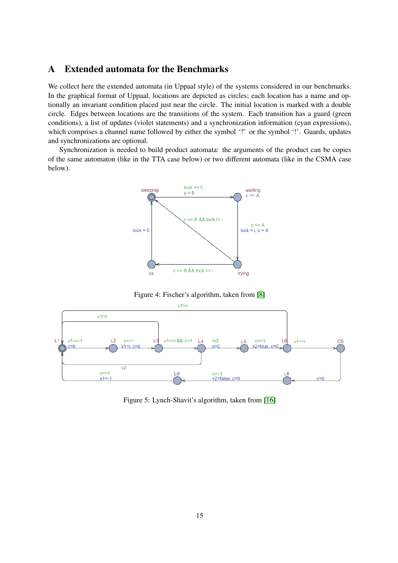# <span id="page-14-0"></span>A Extended automata for the Benchmarks

We collect here the extended automata (in Uppaal style) of the systems considered in our benchmarks. In the graphical format of Uppaal, locations are depicted as circles; each location has a name and optionally an invariant condition placed just near the circle. The initial location is marked with a double circle. Edges between locations are the transitions of the system. Each transition has a guard (green conditions), a list of updates (violet statements) and a synchronization information (cyan expressions), which comprises a channel name followed by either the symbol '?' or the symbol '!'. Guards, updates and synchronizations are optional.

Synchronization is needed to build product automata: the arguments of the product can be copies of the same automaton (like in the TTA case below) or two different automata (like in the CSMA case below).



<span id="page-14-1"></span>Figure 4: Fischer's algorithm, taken from [\[8\]](#page-13-18)



<span id="page-14-2"></span>Figure 5: Lynch-Shavit's algorithm, taken from [\[16\]](#page-13-7)